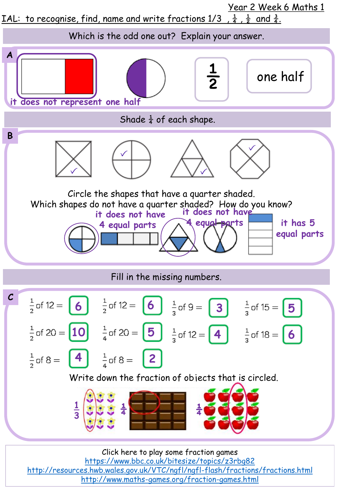

<http://resources.hwb.wales.gov.uk/VTC/ngfl/ngfl-flash/fractions/fractions.html> <http://www.maths-games.org/fraction-games.html>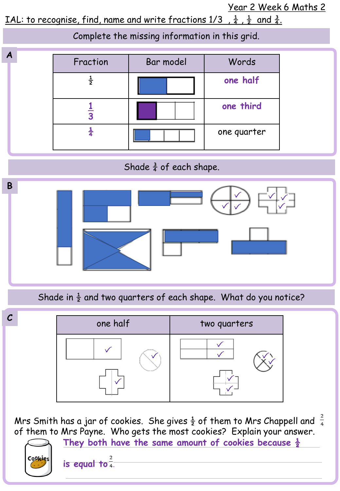Year 2 Week 6 Maths 2

IAL: to recognise, find, name and write fractions  $1/3$ ,  $\frac{1}{4}$ ,  $\frac{1}{2}$  and  $\frac{3}{4}$ .

**A B** Complete the missing information in this grid. Fraction | Bar model | Words ½ **one half 1 3 one third ¼** one quarter Shade  $\frac{3}{4}$  of each shape. Shade in  $\frac{1}{2}$  and two quarters of each shape. What do you notice?



Mrs Smith has a jar of cookies. She gives  $\frac{1}{2}$  of them to Mrs Chappell and  $\frac{2}{4}$ of them to Mrs Payne. Who gets the most cookies? Explain your answer.

**They both have the same amount of cookies because ½**  Cookies **is equal to .**